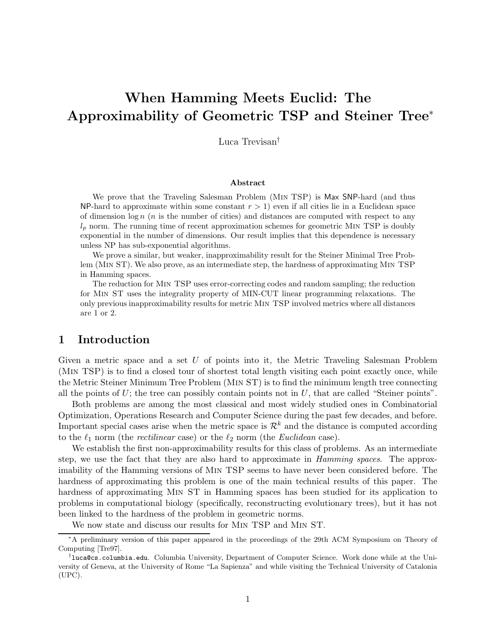# When Hamming Meets Euclid: The Approximability of Geometric TSP and Steiner Tree<sup>∗</sup>

Luca Trevisan†

#### Abstract

We prove that the Traveling Salesman Problem (Min TSP) is Max SNP-hard (and thus NP-hard to approximate within some constant  $r > 1$ ) even if all cities lie in a Euclidean space of dimension  $\log n$  (*n* is the number of cities) and distances are computed with respect to any  $l_p$  norm. The running time of recent approximation schemes for geometric MIN TSP is doubly exponential in the number of dimensions. Our result implies that this dependence is necessary unless NP has sub-exponential algorithms.

We prove a similar, but weaker, inapproximability result for the Steiner Minimal Tree Problem (Min ST). We also prove, as an intermediate step, the hardness of approximating Min TSP in Hamming spaces.

The reduction for Min TSP uses error-correcting codes and random sampling; the reduction for Min ST uses the integrality property of MIN-CUT linear programming relaxations. The only previous inapproximability results for metric Min TSP involved metrics where all distances are 1 or 2.

# 1 Introduction

Given a metric space and a set  $U$  of points into it, the Metric Traveling Salesman Problem (Min TSP) is to find a closed tour of shortest total length visiting each point exactly once, while the Metric Steiner Minimum Tree Problem (Min ST) is to find the minimum length tree connecting all the points of  $U$ ; the tree can possibly contain points not in  $U$ , that are called "Steiner points".

Both problems are among the most classical and most widely studied ones in Combinatorial Optimization, Operations Research and Computer Science during the past few decades, and before. Important special cases arise when the metric space is  $\mathcal{R}^k$  and the distance is computed according to the  $\ell_1$  norm (the *rectilinear* case) or the  $\ell_2$  norm (the *Euclidean* case).

We establish the first non-approximability results for this class of problems. As an intermediate step, we use the fact that they are also hard to approximate in *Hamming spaces*. The approximability of the Hamming versions of Min TSP seems to have never been considered before. The hardness of approximating this problem is one of the main technical results of this paper. The hardness of approximating Min ST in Hamming spaces has been studied for its application to problems in computational biology (specifically, reconstructing evolutionary trees), but it has not been linked to the hardness of the problem in geometric norms.

We now state and discuss our results for Min TSP and Min ST.

<sup>∗</sup>A preliminary version of this paper appeared in the proceedings of the 29th ACM Symposium on Theory of Computing [Tre97].

<sup>†</sup> luca@cs.columbia.edu. Columbia University, Department of Computer Science. Work done while at the University of Geneva, at the University of Rome "La Sapienza" and while visiting the Technical University of Catalonia (UPC).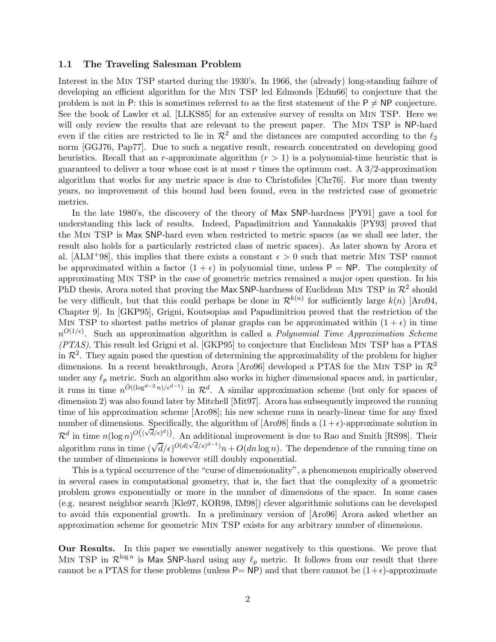#### 1.1 The Traveling Salesman Problem

Interest in the Min TSP started during the 1930's. In 1966, the (already) long-standing failure of developing an efficient algorithm for the Min TSP led Edmonds [Edm66] to conjecture that the problem is not in P: this is sometimes referred to as the first statement of the  $P \neq NP$  conjecture. See the book of Lawler et al. [LLKS85] for an extensive survey of results on Min TSP. Here we will only review the results that are relevant to the present paper. The MIN TSP is NP-hard even if the cities are restricted to lie in  $\mathcal{R}^2$  and the distances are computed according to the  $\ell_2$ norm [GGJ76, Pap77]. Due to such a negative result, research concentrated on developing good heuristics. Recall that an r-approximate algorithm  $(r > 1)$  is a polynomial-time heuristic that is guaranteed to deliver a tour whose cost is at most r times the optimum cost. A  $3/2$ -approximation algorithm that works for any metric space is due to Christofides [Chr76]. For more than twenty years, no improvement of this bound had been found, even in the restricted case of geometric metrics.

In the late 1980's, the discovery of the theory of Max SNP-hardness [PY91] gave a tool for understanding this lack of results. Indeed, Papadimitriou and Yannakakis [PY93] proved that the Min TSP is Max SNP-hard even when restricted to metric spaces (as we shall see later, the result also holds for a particularly restricted class of metric spaces). As later shown by Arora et al. [ALM<sup>+98]</sup>, this implies that there exists a constant  $\epsilon > 0$  such that metric MIN TSP cannot be approximated within a factor  $(1 + \epsilon)$  in polynomial time, unless  $P = NP$ . The complexity of approximating Min TSP in the case of geometric metrics remained a major open question. In his PhD thesis, Arora noted that proving the Max SNP-hardness of Euclidean MIN TSP in  $\mathcal{R}^2$  should be very difficult, but that this could perhaps be done in  $\mathcal{R}^{k(n)}$  for sufficiently large  $k(n)$  [Aro94, Chapter 9]. In [GKP95], Grigni, Koutsopias and Papadimitriou proved that the restriction of the MIN TSP to shortest paths metrics of planar graphs can be approximated within  $(1 + \epsilon)$  in time  $n^{O(1/\epsilon)}$ . Such an approximation algorithm is called a *Polynomial Time Approximation Scheme (PTAS)*. This result led Grigni et al. [GKP95] to conjecture that Euclidean Min TSP has a PTAS in  $\mathcal{R}^2$ . They again posed the question of determining the approximability of the problem for higher dimensions. In a recent breakthrough, Arora [Aro96] developed a PTAS for the MIN TSP in  $\mathcal{R}^2$ under any  $\ell_p$  metric. Such an algorithm also works in higher dimensional spaces and, in particular, it runs in time  $n^{\tilde{O}((\log^{d-2} n)/\epsilon^{d-1})}$  in  $\mathcal{R}^d$ . A similar approximation scheme (but only for spaces of dimension 2) was also found later by Mitchell [Mit97]. Arora has subsequently improved the running time of his approximation scheme [Aro98]; his new scheme runs in nearly-linear time for any fixed number of dimensions. Specifically, the algorithm of [Aro98] finds a  $(1+\epsilon)$ -approximate solution in  $\mathcal{R}^d$  in time  $n(\log n)^{O((\sqrt{d}/\epsilon)^d)})$ . An additional improvement is due to Rao and Smith [RS98]. Their algorithm runs in time  $(\sqrt{d}/\epsilon)^{O(d(\sqrt{d}/s)^{d-1})}n+O(dn\log n)$ . The dependence of the running time on the number of dimensions is however still doubly exponential.

This is a typical occurrence of the "curse of dimensionality", a phenomenon empirically observed in several cases in computational geometry, that is, the fact that the complexity of a geometric problem grows exponentially or more in the number of dimensions of the space. In some cases (e.g. nearest neighbor search [Kle97, KOR98, IM98]) clever algorithmic solutions can be developed to avoid this exponential growth. In a preliminary version of [Aro96] Arora asked whether an approximation scheme for geometric Min TSP exists for any arbitrary number of dimensions.

Our Results. In this paper we essentially answer negatively to this questions. We prove that MIN TSP in  $\mathcal{R}^{\log n}$  is Max SNP-hard using any  $\ell_p$  metric. It follows from our result that there cannot be a PTAS for these problems (unless  $P= NP$ ) and that there cannot be  $(1+\epsilon)$ -approximate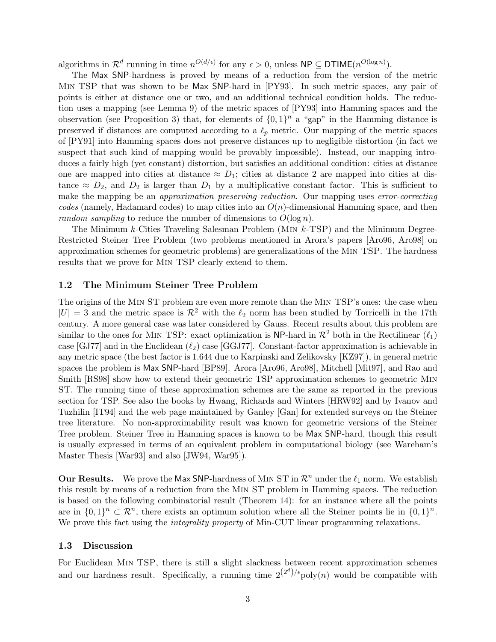algorithms in  $\mathcal{R}^d$  running in time  $n^{O(d/\epsilon)}$  for any  $\epsilon > 0$ , unless  $\mathsf{NP} \subseteq \mathsf{DTIME}(n^{O(\log n)})$ .

The Max SNP-hardness is proved by means of a reduction from the version of the metric Min TSP that was shown to be Max SNP-hard in [PY93]. In such metric spaces, any pair of points is either at distance one or two, and an additional technical condition holds. The reduction uses a mapping (see Lemma 9) of the metric spaces of [PY93] into Hamming spaces and the observation (see Proposition 3) that, for elements of  $\{0,1\}^n$  a "gap" in the Hamming distance is preserved if distances are computed according to a  $\ell_p$  metric. Our mapping of the metric spaces of [PY91] into Hamming spaces does not preserve distances up to negligible distortion (in fact we suspect that such kind of mapping would be provably impossible). Instead, our mapping introduces a fairly high (yet constant) distortion, but satisfies an additional condition: cities at distance one are mapped into cities at distance  $\approx D_1$ ; cities at distance 2 are mapped into cities at distance  $\approx D_2$ , and  $D_2$  is larger than  $D_1$  by a multiplicative constant factor. This is sufficient to make the mapping be an *approximation preserving reduction*. Our mapping uses *error-correcting*  $codes$  (namely, Hadamard codes) to map cities into an  $O(n)$ -dimensional Hamming space, and then *random sampling* to reduce the number of dimensions to  $O(\log n)$ .

The Minimum k-Cities Traveling Salesman Problem (Min k-TSP) and the Minimum Degree-Restricted Steiner Tree Problem (two problems mentioned in Arora's papers [Aro96, Aro98] on approximation schemes for geometric problems) are generalizations of the Min TSP. The hardness results that we prove for Min TSP clearly extend to them.

#### 1.2 The Minimum Steiner Tree Problem

The origins of the Min ST problem are even more remote than the Min TSP's ones: the case when  $|U| = 3$  and the metric space is  $\mathcal{R}^2$  with the  $\ell_2$  norm has been studied by Torricelli in the 17th century. A more general case was later considered by Gauss. Recent results about this problem are similar to the ones for MIN TSP: exact optimization is NP-hard in  $\mathcal{R}^2$  both in the Rectilinear  $(\ell_1)$ case [GJ77] and in the Euclidean  $(\ell_2)$  case [GGJ77]. Constant-factor approximation is achievable in any metric space (the best factor is 1.644 due to Karpinski and Zelikovsky [KZ97]), in general metric spaces the problem is Max SNP-hard [BP89]. Arora [Aro96, Aro98], Mitchell [Mit97], and Rao and Smith [RS98] show how to extend their geometric TSP approximation schemes to geometric Min ST. The running time of these approximation schemes are the same as reported in the previous section for TSP. See also the books by Hwang, Richards and Winters [HRW92] and by Ivanov and Tuzhilin [IT94] and the web page maintained by Ganley [Gan] for extended surveys on the Steiner tree literature. No non-approximability result was known for geometric versions of the Steiner Tree problem. Steiner Tree in Hamming spaces is known to be Max SNP-hard, though this result is usually expressed in terms of an equivalent problem in computational biology (see Wareham's Master Thesis [War93] and also [JW94, War95]).

Our Results. We prove the Max SNP-hardness of MIN ST in  $\mathcal{R}^n$  under the  $\ell_1$  norm. We establish this result by means of a reduction from the Min ST problem in Hamming spaces. The reduction is based on the following combinatorial result (Theorem 14): for an instance where all the points are in  $\{0,1\}^n \subset \mathbb{R}^n$ , there exists an optimum solution where all the Steiner points lie in  $\{0,1\}^n$ . We prove this fact using the *integrality property* of Min-CUT linear programming relaxations.

### 1.3 Discussion

For Euclidean Min TSP, there is still a slight slackness between recent approximation schemes and our hardness result. Specifically, a running time  $2^{(2^d)/\epsilon}$  poly $(n)$  would be compatible with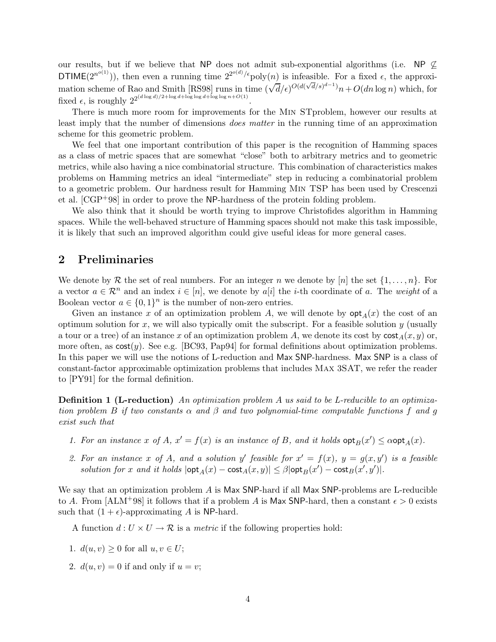our results, but if we believe that NP does not admit sub-exponential algorithms (i.e. NP  $\not\subseteq$ DTIME( $2^{n^{o(1)}}$ )), then even a running time  $2^{2^{o(d)}/\epsilon}$ poly $(n)$  is infeasible. For a fixed  $\epsilon$ , the approximation scheme of Rao and Smith [RS98] runs in time  $(\sqrt{d}/\epsilon)^{O(d(\sqrt{d}/s)^{d-1})}n+O(dn\log n)$  which, for fixed  $\epsilon$ , is roughly  $2^{2^{(d \log d)/2 + \log d + \log \log d + \log \log n + O(1)}}$ .

There is much more room for improvements for the Min STproblem, however our results at least imply that the number of dimensions *does matter* in the running time of an approximation scheme for this geometric problem.

We feel that one important contribution of this paper is the recognition of Hamming spaces as a class of metric spaces that are somewhat "close" both to arbitrary metrics and to geometric metrics, while also having a nice combinatorial structure. This combination of characteristics makes problems on Hamming metrics an ideal "intermediate" step in reducing a combinatorial problem to a geometric problem. Our hardness result for Hamming Min TSP has been used by Crescenzi et al.  $[CGP+98]$  in order to prove the NP-hardness of the protein folding problem.

We also think that it should be worth trying to improve Christofides algorithm in Hamming spaces. While the well-behaved structure of Hamming spaces should not make this task impossible, it is likely that such an improved algorithm could give useful ideas for more general cases.

## 2 Preliminaries

We denote by R the set of real numbers. For an integer n we denote by  $[n]$  the set  $\{1, \ldots, n\}$ . For a vector  $a \in \mathcal{R}^n$  and an index  $i \in [n]$ , we denote by  $a[i]$  the *i*-th coordinate of a. The *weight* of a Boolean vector  $a \in \{0,1\}^n$  is the number of non-zero entries.

Given an instance x of an optimization problem A, we will denote by  $\mathsf{opt}_A(x)$  the cost of an optimum solution for x, we will also typically omit the subscript. For a feasible solution  $y$  (usually a tour or a tree) of an instance x of an optimization problem A, we denote its cost by  $\cosh(x, y)$  or, more often, as  $cost(y)$ . See e.g. [BC93, Pap94] for formal definitions about optimization problems. In this paper we will use the notions of L-reduction and Max SNP-hardness. Max SNP is a class of constant-factor approximable optimization problems that includes Max 3SAT, we refer the reader to [PY91] for the formal definition.

Definition 1 (L-reduction) *An optimization problem* A *us said to be L-reducible to an optimization problem* B *if two constants* α *and* β *and two polynomial-time computable functions* f *and* g *exist such that*

- *1. For an instance* x of A,  $x' = f(x)$  *is an instance of* B, and *it holds*  $\text{opt}_B(x') \leq \alpha \text{opt}_A(x)$ *.*
- 2. For an instance x of A, and a solution y' feasible for  $x' = f(x)$ ,  $y = g(x, y')$  is a feasible *solution for* x and it holds  $|\textsf{opt}_A(x) - \textsf{cost}_A(x, y)| \leq \beta |\textsf{opt}_B(x') - \textsf{cost}_B(x', y')|.$

We say that an optimization problem A is Max SNP-hard if all Max SNP-problems are L-reducible to A. From [ALM<sup>+</sup>98] it follows that if a problem A is Max SNP-hard, then a constant  $\epsilon > 0$  exists such that  $(1 + \epsilon)$ -approximating A is NP-hard.

A function  $d: U \times U \rightarrow \mathcal{R}$  is a *metric* if the following properties hold:

- 1.  $d(u, v) \geq 0$  for all  $u, v \in U$ ;
- 2.  $d(u, v) = 0$  if and only if  $u = v$ ;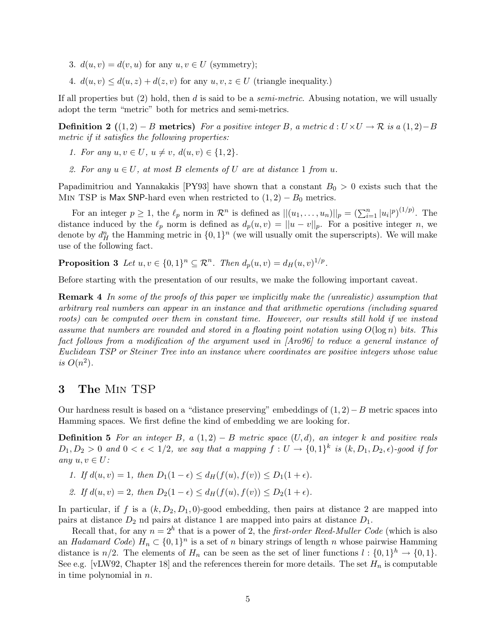- 3.  $d(u, v) = d(v, u)$  for any  $u, v \in U$  (symmetry);
- 4.  $d(u, v) \leq d(u, z) + d(z, v)$  for any  $u, v, z \in U$  (triangle inequality.)

If all properties but (2) hold, then d is said to be a *semi-metric*. Abusing notation, we will usually adopt the term "metric" both for metrics and semi-metrics.

**Definition 2** ((1, 2) − B metrics) *For a positive integer* B, a metric  $d : U \times U \rightarrow \mathbb{R}$  *is a* (1, 2)−B *metric if it satisfies the following properties:*

- *1. For any*  $u, v \in U$ ,  $u \neq v$ ,  $d(u, v) \in \{1, 2\}$ .
- 2. For any  $u \in U$ , at most B elements of U are at distance 1 from u.

Papadimitriou and Yannakakis [PY93] have shown that a constant  $B_0 > 0$  exists such that the MIN TSP is Max SNP-hard even when restricted to  $(1, 2) - B_0$  metrics.

For an integer  $p \ge 1$ , the  $\ell_p$  norm in  $\mathcal{R}^n$  is defined as  $||(u_1, \ldots, u_n)||_p = \left(\sum_{i=1}^n |u_i|^p\right)^{(1/p)}$ . The distance induced by the  $\ell_p$  norm is defined as  $d_p(u, v) = ||u - v||_p$ . For a positive integer n, we denote by  $d_H^n$  the Hamming metric in  $\{0,1\}^n$  (we will usually omit the superscripts). We will make use of the following fact.

**Proposition 3** Let  $u, v \in \{0, 1\}^n \subseteq \mathbb{R}^n$ . Then  $d_p(u, v) = d_H(u, v)^{1/p}$ .

Before starting with the presentation of our results, we make the following important caveat.

Remark 4 *In some of the proofs of this paper we implicitly make the (unrealistic) assumption that arbitrary real numbers can appear in an instance and that arithmetic operations (including squared roots) can be computed over them in constant time. However, our results still hold if we instead assume that numbers are rounded and stored in a floating point notation using*  $O(\log n)$  *bits. This fact follows from a modification of the argument used in [Aro96] to reduce a general instance of Euclidean TSP or Steiner Tree into an instance where coordinates are positive integers whose value is*  $O(n^2)$ *.* 

## 3 The Min TSP

Our hardness result is based on a "distance preserving" embeddings of  $(1, 2) - B$  metric spaces into Hamming spaces. We first define the kind of embedding we are looking for.

Definition 5 *For an integer* B*, a* (1, 2) − B *metric space* (U, d)*, an integer* k *and positive reals*  $D_1, D_2 > 0$  and  $0 < \epsilon < 1/2$ , we say that a mapping  $f: U \to \{0, 1\}^k$  is  $(k, D_1, D_2, \epsilon)$ -good if for *any*  $u, v \in U$ :

- *1.* If  $d(u, v) = 1$ , then  $D_1(1 \epsilon) \le d_H(f(u), f(v)) \le D_1(1 + \epsilon)$ .
- *2.* If  $d(u, v) = 2$ , then  $D_2(1 \epsilon) \le d_H(f(u), f(v)) \le D_2(1 + \epsilon)$ .

In particular, if f is a  $(k, D_2, D_1, 0)$ -good embedding, then pairs at distance 2 are mapped into pairs at distance  $D_2$  nd pairs at distance 1 are mapped into pairs at distance  $D_1$ .

Recall that, for any  $n = 2<sup>h</sup>$  that is a power of 2, the *first-order Reed-Muller Code* (which is also an *Hadamard Code*)  $H_n \subset \{0,1\}^n$  is a set of n binary strings of length n whose pairwise Hamming distance is  $n/2$ . The elements of  $H_n$  can be seen as the set of liner functions  $l : \{0,1\}^h \to \{0,1\}$ . See e.g. [vLW92, Chapter 18] and the references therein for more details. The set  $H_n$  is computable in time polynomial in  $n$ .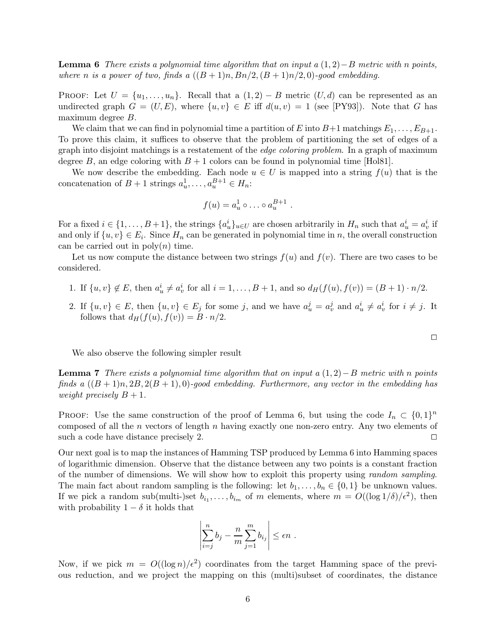Lemma 6 *There exists a polynomial time algorithm that on input a* (1, 2)−B *metric with* n *points, where n is a power of two, finds a*  $((B+1)n, Bn/2, (B+1)n/2, 0)$ *-good embedding.* 

PROOF: Let  $U = \{u_1, \ldots, u_n\}$ . Recall that a  $(1, 2) - B$  metric  $(U, d)$  can be represented as an undirected graph  $G = (U, E)$ , where  $\{u, v\} \in E$  iff  $d(u, v) = 1$  (see [PY93]). Note that G has maximum degree B.

We claim that we can find in polynomial time a partition of E into  $B+1$  matchings  $E_1, \ldots, E_{B+1}$ . To prove this claim, it suffices to observe that the problem of partitioning the set of edges of a graph into disjoint matchings is a restatement of the *edge coloring problem*. In a graph of maximum degree B, an edge coloring with  $B + 1$  colors can be found in polynomial time [Hol81].

We now describe the embedding. Each node  $u \in U$  is mapped into a string  $f(u)$  that is the concatenation of  $B + 1$  strings  $a_u^1, \ldots, a_u^{B+1} \in H_n$ :

$$
f(u) = a_u^1 \circ \dots \circ a_u^{B+1} .
$$

For a fixed  $i \in \{1, ..., B+1\}$ , the strings  $\{a_u^i\}_{u \in U}$  are chosen arbitrarily in  $H_n$  such that  $a_u^i = a_v^i$  if and only if  $\{u, v\} \in E_i$ . Since  $H_n$  can be generated in polynomial time in n, the overall construction can be carried out in  $\text{poly}(n)$  time.

Let us now compute the distance between two strings  $f(u)$  and  $f(v)$ . There are two cases to be considered.

- 1. If  $\{u, v\} \notin E$ , then  $a^i_u \neq a^i_v$  for all  $i = 1, ..., B + 1$ , and so  $d_H(f(u), f(v)) = (B + 1) \cdot n/2$ .
- 2. If  $\{u, v\} \in E$ , then  $\{u, v\} \in E_j$  for some j, and we have  $a_u^j = a_v^j$  and  $a_u^i \neq a_v^i$  for  $i \neq j$ . It follows that  $d_H(f(u), f(v)) = B \cdot n/2$ .

 $\Box$ 

We also observe the following simpler result

Lemma 7 *There exists a polynomial time algorithm that on input a* (1, 2)−B *metric with* n *points finds a*  $((B+1)n, 2B, 2(B+1), 0)$ *-good embedding. Furthermore, any vector in the embedding has weight precisely*  $B + 1$ *.* 

PROOF: Use the same construction of the proof of Lemma 6, but using the code  $I_n \subset \{0,1\}^n$ composed of all the *n* vectors of length *n* having exactly one non-zero entry. Any two elements of such a code have distance precisely 2.  $\Box$ 

Our next goal is to map the instances of Hamming TSP produced by Lemma 6 into Hamming spaces of logarithmic dimension. Observe that the distance between any two points is a constant fraction of the number of dimensions. We will show how to exploit this property using *random sampling*. The main fact about random sampling is the following: let  $b_1, \ldots, b_n \in \{0, 1\}$  be unknown values. If we pick a random sub(multi-)set  $b_{i_1}, \ldots, b_{i_m}$  of m elements, where  $m = O((\log 1/\delta)/\epsilon^2)$ , then with probability  $1 - \delta$  it holds that

$$
\left|\sum_{i=j}^n b_j - \frac{n}{m}\sum_{j=1}^m b_{i_j}\right| \le \epsilon n \; .
$$

Now, if we pick  $m = O((\log n)/\epsilon^2)$  coordinates from the target Hamming space of the previous reduction, and we project the mapping on this (multi)subset of coordinates, the distance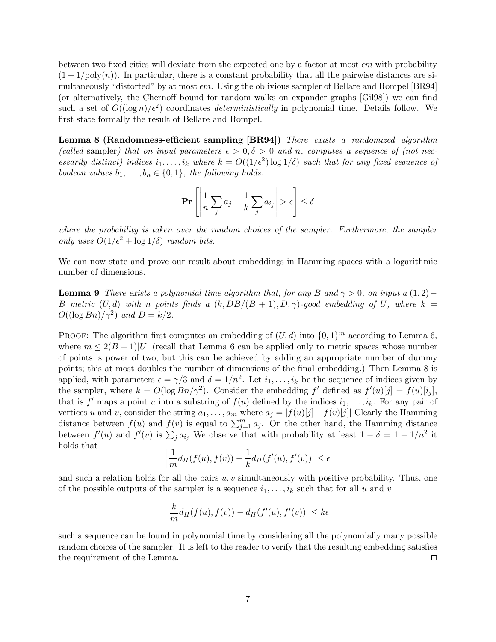between two fixed cities will deviate from the expected one by a factor at most  $\epsilon m$  with probability  $(1 - 1/\text{poly}(n))$ . In particular, there is a constant probability that all the pairwise distances are simultaneously "distorted" by at most  $\epsilon m$ . Using the oblivious sampler of Bellare and Rompel [BR94] (or alternatively, the Chernoff bound for random walks on expander graphs [Gil98]) we can find such a set of  $O((\log n)/\epsilon^2)$  coordinates *deterministically* in polynomial time. Details follow. We first state formally the result of Bellare and Rompel.

Lemma 8 (Randomness-efficient sampling [BR94]) *There exists a randomized algorithm* (called sampler) that on input parameters  $\epsilon > 0, \delta > 0$  and n, computes a sequence of (not nec*essarily distinct) indices*  $i_1, \ldots, i_k$  where  $k = O((1/\epsilon^2) \log 1/\delta)$  *such that for any fixed sequence of boolean values*  $b_1, \ldots, b_n \in \{0, 1\}$ *, the following holds:* 

$$
\Pr\left[\left|\frac{1}{n}\sum_{j}a_j - \frac{1}{k}\sum_{j}a_{i_j}\right| > \epsilon\right] \le \delta
$$

*where the probability is taken over the random choices of the sampler. Furthermore, the sampler only uses*  $O(1/\epsilon^2 + \log 1/\delta)$  *random bits.* 

We can now state and prove our result about embeddings in Hamming spaces with a logarithmic number of dimensions.

**Lemma 9** *There exists a polynomial time algorithm that, for any* B and  $\gamma > 0$ , on input a (1,2)− B metric  $(U, d)$  with n points finds a  $(k, DB/(B + 1), D, \gamma)$ -good embedding of U, where  $k =$  $O((\log Bn)/\gamma^2)$  and  $D = k/2$ .

PROOF: The algorithm first computes an embedding of  $(U, d)$  into  $\{0, 1\}^m$  according to Lemma 6, where  $m \leq 2(B+1)|U|$  (recall that Lemma 6 can be applied only to metric spaces whose number of points is power of two, but this can be achieved by adding an appropriate number of dummy points; this at most doubles the number of dimensions of the final embedding.) Then Lemma 8 is applied, with parameters  $\epsilon = \gamma/3$  and  $\delta = 1/n^2$ . Let  $i_1, \ldots, i_k$  be the sequence of indices given by the sampler, where  $k = O(\log B n / \gamma^2)$ . Consider the embedding f' defined as  $f'(u)[j] = f(u)[i_j]$ , that is  $f'$  maps a point u into a substring of  $f(u)$  defined by the indices  $i_1, \ldots, i_k$ . For any pair of vertices u and v, consider the string  $a_1, \ldots, a_m$  where  $a_j = |f(u)[j] - f(v)[j]|$  Clearly the Hamming distance between  $f(u)$  and  $f(v)$  is equal to  $\sum_{j=1}^{m} a_j$ . On the other hand, the Hamming distance between  $f'(u)$  and  $f'(v)$  is  $\sum_j a_{i_j}$ . We observe that with probability at least  $1 - \delta = 1 - 1/n^2$  it holds that

$$
\left|\frac{1}{m}d_H(f(u), f(v)) - \frac{1}{k}d_H(f'(u), f'(v))\right| \le \epsilon
$$

and such a relation holds for all the pairs  $u, v$  simultaneously with positive probability. Thus, one of the possible outputs of the sampler is a sequence  $i_1, \ldots, i_k$  such that for all u and v

$$
\left|\frac{k}{m}d_H(f(u), f(v)) - d_H(f'(u), f'(v))\right| \le k\epsilon
$$

such a sequence can be found in polynomial time by considering all the polynomially many possible random choices of the sampler. It is left to the reader to verify that the resulting embedding satisfies the requirement of the Lemma.  $\Box$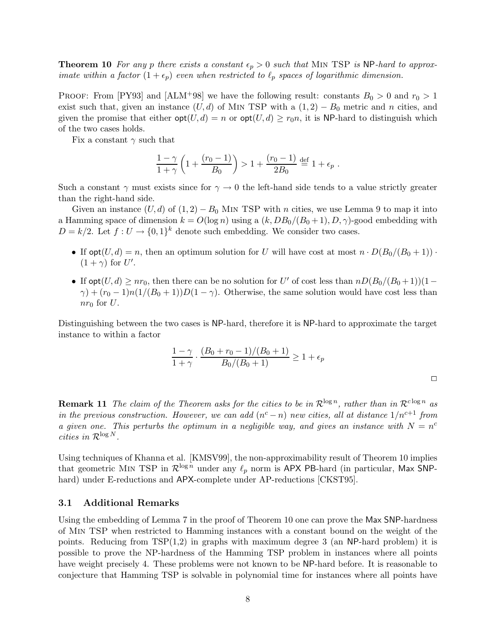**Theorem 10** For any p there exists a constant  $\epsilon_p > 0$  such that MIN TSP is NP-hard to approx*imate within a factor*  $(1 + \epsilon_p)$  *even when restricted to*  $\ell_p$  *spaces of logarithmic dimension.* 

PROOF: From [PY93] and [ALM<sup>+</sup>98] we have the following result: constants  $B_0 > 0$  and  $r_0 > 1$ exist such that, given an instance  $(U, d)$  of M<sub>IN</sub> TSP with a  $(1, 2) - B_0$  metric and n cities, and given the promise that either  $opt(U, d) = n$  or  $opt(U, d) \geq r_0 n$ , it is NP-hard to distinguish which of the two cases holds.

Fix a constant  $\gamma$  such that

$$
\frac{1-\gamma}{1+\gamma} \left( 1 + \frac{(r_0 - 1)}{B_0} \right) > 1 + \frac{(r_0 - 1)}{2B_0} \stackrel{\text{def}}{=} 1 + \epsilon_p.
$$

Such a constant  $\gamma$  must exists since for  $\gamma \to 0$  the left-hand side tends to a value strictly greater than the right-hand side.

Given an instance  $(U, d)$  of  $(1, 2) - B_0$  MIN TSP with n cities, we use Lemma 9 to map it into a Hamming space of dimension  $k = O(\log n)$  using a  $(k, DB_0/(B_0+1), D, \gamma)$ -good embedding with  $D = k/2$ . Let  $f: U \to \{0,1\}^k$  denote such embedding. We consider two cases.

- If  $opt(U, d) = n$ , then an optimum solution for U will have cost at most  $n \cdot D(B_0/(B_0+1))$ .  $(1 + \gamma)$  for U'.
- If  $opt(U, d) \geq nr_0$ , then there can be no solution for U' of cost less than  $nD(B_0/(B_0+1))(1-\alpha)$  $\gamma$ ) +  $(r_0 - 1)n(1/(B_0 + 1))D(1 - \gamma)$ . Otherwise, the same solution would have cost less than  $nr_0$  for U.

Distinguishing between the two cases is NP-hard, therefore it is NP-hard to approximate the target instance to within a factor

$$
\frac{1-\gamma}{1+\gamma} \cdot \frac{(B_0 + r_0 - 1)/(B_0 + 1)}{B_0/(B_0 + 1)} \ge 1 + \epsilon_p
$$

 $\Box$ 

**Remark 11** The claim of the Theorem asks for the cities to be in  $\mathcal{R}^{\log n}$ , rather than in  $\mathcal{R}^{\log n}$  as *in the previous construction. However, we can add*  $(n<sup>c</sup> - n)$  *new cities, all at distance*  $1/n<sup>c+1</sup>$  *from a given one. This perturbs the optimum in a negligible way, and gives an instance with*  $N = n^c$ *cities in*  $\mathcal{R}^{\log N}$ *.* 

Using techniques of Khanna et al. [KMSV99], the non-approximability result of Theorem 10 implies that geometric MIN TSP in  $\mathcal{R}^{\log n}$  under any  $\ell_p$  norm is APX PB-hard (in particular, Max SNPhard) under E-reductions and APX-complete under AP-reductions [CKST95].

## 3.1 Additional Remarks

Using the embedding of Lemma 7 in the proof of Theorem 10 one can prove the Max SNP-hardness of Min TSP when restricted to Hamming instances with a constant bound on the weight of the points. Reducing from  $TSP(1,2)$  in graphs with maximum degree 3 (an NP-hard problem) it is possible to prove the NP-hardness of the Hamming TSP problem in instances where all points have weight precisely 4. These problems were not known to be NP-hard before. It is reasonable to conjecture that Hamming TSP is solvable in polynomial time for instances where all points have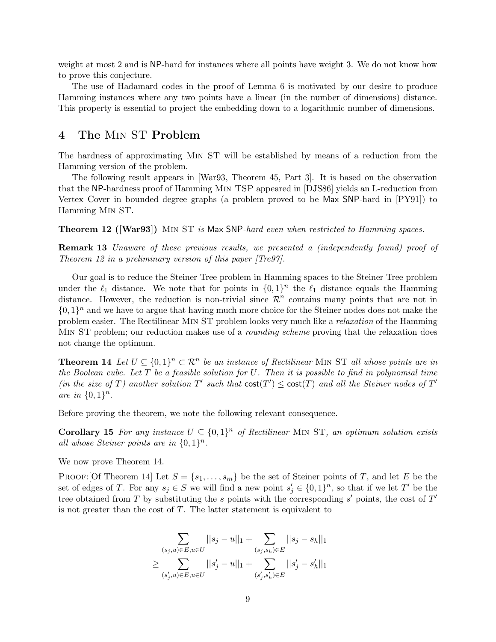weight at most 2 and is NP-hard for instances where all points have weight 3. We do not know how to prove this conjecture.

The use of Hadamard codes in the proof of Lemma 6 is motivated by our desire to produce Hamming instances where any two points have a linear (in the number of dimensions) distance. This property is essential to project the embedding down to a logarithmic number of dimensions.

## 4 The Min ST Problem

The hardness of approximating Min ST will be established by means of a reduction from the Hamming version of the problem.

The following result appears in [War93, Theorem 45, Part 3]. It is based on the observation that the NP-hardness proof of Hamming Min TSP appeared in [DJS86] yields an L-reduction from Vertex Cover in bounded degree graphs (a problem proved to be Max SNP-hard in [PY91]) to Hamming Min ST.

Theorem 12 ([War93]) Min ST *is* Max SNP*-hard even when restricted to Hamming spaces.*

Remark 13 *Unaware of these previous results, we presented a (independently found) proof of Theorem 12 in a preliminary version of this paper [Tre97].*

Our goal is to reduce the Steiner Tree problem in Hamming spaces to the Steiner Tree problem under the  $\ell_1$  distance. We note that for points in  $\{0,1\}^n$  the  $\ell_1$  distance equals the Hamming distance. However, the reduction is non-trivial since  $\mathcal{R}^n$  contains many points that are not in  $\{0,1\}^n$  and we have to argue that having much more choice for the Steiner nodes does not make the problem easier. The Rectilinear Min ST problem looks very much like a *relaxation* of the Hamming Min ST problem; our reduction makes use of a *rounding scheme* proving that the relaxation does not change the optimum.

**Theorem 14** Let  $U \subseteq \{0,1\}^n \subset \mathbb{R}^n$  be an instance of Rectilinear MIN ST all whose points are in *the Boolean cube. Let* T *be a feasible solution for* U*. Then it is possible to find in polynomial time* (in the size of T) another solution  $T'$  such that  $cost(T') \leq cost(T)$  and all the Steiner nodes of  $T'$ *are in*  $\{0, 1\}^n$ .

Before proving the theorem, we note the following relevant consequence.

**Corollary 15** For any instance  $U \subseteq \{0,1\}^n$  of Rectilinear MIN ST, an optimum solution exists all whose Steiner points are in  $\{0,1\}^n$ .

We now prove Theorem 14.

PROOF: [Of Theorem 14] Let  $S = \{s_1, \ldots, s_m\}$  be the set of Steiner points of T, and let E be the set of edges of T. For any  $s_j \in S$  we will find a new point  $s'_j \in \{0,1\}^n$ , so that if we let T' be the tree obtained from T by substituting the s points with the corresponding s' points, the cost of  $T'$ is not greater than the cost of  $T$ . The latter statement is equivalent to

$$
\sum_{(s_j,u)\in E, u\in U} ||s_j-u||_1 + \sum_{(s_j,s_h)\in E} ||s_j-s_h||_1
$$
  

$$
\geq \sum_{(s'_j,u)\in E, u\in U} ||s'_j-u||_1 + \sum_{(s'_j,s'_h)\in E} ||s'_j-s'_h||_1
$$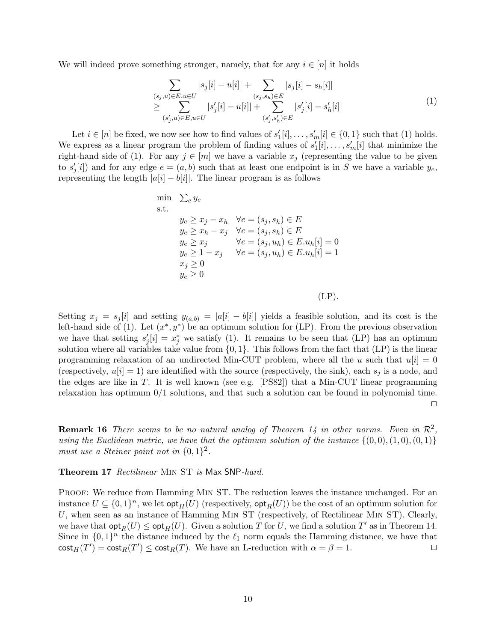We will indeed prove something stronger, namely, that for any  $i \in [n]$  it holds

$$
\sum_{\substack{(s_j, u) \in E, u \in U \\ \sum_{(s'_j, u) \in E, u \in U} |s'_j[i] - u[i]|}} |s_j[i] - s_h[i]| + \sum_{(s'_j, s'_h) \in E} |s'_j[i] - s'_h[i]|
$$
\n
$$
\geq \sum_{(s'_j, u) \in E, u \in U} |s'_j[i] - u[i]| + \sum_{(s'_j, s'_h) \in E} |s'_j[i] - s'_h[i]| \tag{1}
$$

Let  $i \in [n]$  be fixed, we now see how to find values of  $s'_1[i], \ldots, s'_m[i] \in \{0, 1\}$  such that (1) holds. We express as a linear program the problem of finding values of  $s'_1[i], \ldots, s'_m[i]$  that minimize the right-hand side of (1). For any  $j \in [m]$  we have a variable  $x_j$  (representing the value to be given to  $s'_j[i]$  and for any edge  $e = (a, b)$  such that at least one endpoint is in S we have a variable  $y_e$ , representing the length  $|a[i] - b[i]|$ . The linear program is as follows

min 
$$
\sum_{e} y_e
$$
  
\ns.t.  
\n $y_e \ge x_j - x_h \quad \forall e = (s_j, s_h) \in E$   
\n $y_e \ge x_h - x_j \quad \forall e = (s_j, s_h) \in E$   
\n $y_e \ge x_j \quad \forall e = (s_j, u_h) \in E.u_h[i] = 0$   
\n $y_e \ge 1 - x_j \quad \forall e = (s_j, u_h) \in E.u_h[i] = 1$   
\n $x_j \ge 0$   
\n $y_e \ge 0$ 

 $(LP)$ .

Setting  $x_j = s_j[i]$  and setting  $y_{(a,b)} = |a[i] - b[i]|$  yields a feasible solution, and its cost is the left-hand side of (1). Let  $(x^*, y^*)$  be an optimum solution for (LP). From the previous observation we have that setting  $s'_j[i] = x_j^*$  we satisfy (1). It remains to be seen that (LP) has an optimum solution where all variables take value from  $\{0, 1\}$ . This follows from the fact that  $(LP)$  is the linear programming relaxation of an undirected Min-CUT problem, where all the u such that  $u[i] = 0$ (respectively,  $u[i] = 1$ ) are identified with the source (respectively, the sink), each  $s_i$  is a node, and the edges are like in T. It is well known (see e.g.  $[PS82]$ ) that a Min-CUT linear programming relaxation has optimum  $0/1$  solutions, and that such a solution can be found in polynomial time.  $\Box$ 

**Remark 16** There seems to be no natural analog of Theorem 14 in other norms. Even in  $\mathcal{R}^2$ , *using the Euclidean metric, we have that the optimum solution of the instance*  $\{(0,0), (1,0), (0,1)\}$ *must use a Steiner point not in*  $\{0,1\}^2$ .

Theorem 17 *Rectilinear* Min ST *is* Max SNP*-hard.*

PROOF: We reduce from Hamming MIN ST. The reduction leaves the instance unchanged. For an instance  $U \subseteq \{0,1\}^n$ , we let  $\mathsf{opt}_H(U)$  (respectively,  $\mathsf{opt}_R(U)$ ) be the cost of an optimum solution for U, when seen as an instance of Hamming Min ST (respectively, of Rectilinear Min ST). Clearly, we have that  $\mathsf{opt}_R(U) \le \mathsf{opt}_H(U)$ . Given a solution T for U, we find a solution T' as in Theorem 14. Since in  $\{0,1\}^n$  the distance induced by the  $\ell_1$  norm equals the Hamming distance, we have that  $\text{cost}_H(T') = \text{cost}_R(T') \le \text{cost}_R(T)$ . We have an L-reduction with  $\alpha = \beta = 1$ .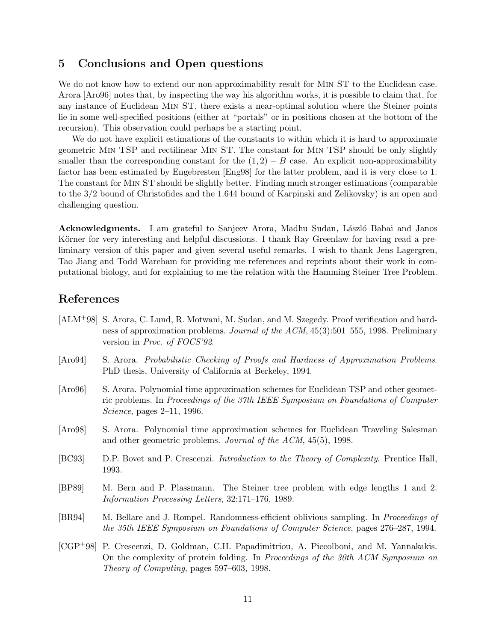## 5 Conclusions and Open questions

We do not know how to extend our non-approximability result for MIN ST to the Euclidean case. Arora [Aro96] notes that, by inspecting the way his algorithm works, it is possible to claim that, for any instance of Euclidean Min ST, there exists a near-optimal solution where the Steiner points lie in some well-specified positions (either at "portals" or in positions chosen at the bottom of the recursion). This observation could perhaps be a starting point.

We do not have explicit estimations of the constants to within which it is hard to approximate geometric Min TSP and rectilinear Min ST. The constant for Min TSP should be only slightly smaller than the corresponding constant for the  $(1, 2) - B$  case. An explicit non-approximability factor has been estimated by Engebresten [Eng98] for the latter problem, and it is very close to 1. The constant for Min ST should be slightly better. Finding much stronger estimations (comparable to the 3/2 bound of Christofides and the 1.644 bound of Karpinski and Zelikovsky) is an open and challenging question.

Acknowledgments. I am grateful to Sanjeev Arora, Madhu Sudan, László Babai and Janos Körner for very interesting and helpful discussions. I thank Ray Greenlaw for having read a preliminary version of this paper and given several useful remarks. I wish to thank Jens Lagergren, Tao Jiang and Todd Wareham for providing me references and reprints about their work in computational biology, and for explaining to me the relation with the Hamming Steiner Tree Problem.

# References

- [ALM+98] S. Arora, C. Lund, R. Motwani, M. Sudan, and M. Szegedy. Proof verification and hardness of approximation problems. *Journal of the ACM*, 45(3):501–555, 1998. Preliminary version in *Proc. of FOCS'92*.
- [Aro94] S. Arora. *Probabilistic Checking of Proofs and Hardness of Approximation Problems*. PhD thesis, University of California at Berkeley, 1994.
- [Aro96] S. Arora. Polynomial time approximation schemes for Euclidean TSP and other geometric problems. In *Proceedings of the 37th IEEE Symposium on Foundations of Computer Science*, pages 2–11, 1996.
- [Aro98] S. Arora. Polynomial time approximation schemes for Euclidean Traveling Salesman and other geometric problems. *Journal of the ACM*, 45(5), 1998.
- [BC93] D.P. Bovet and P. Crescenzi. *Introduction to the Theory of Complexity*. Prentice Hall, 1993.
- [BP89] M. Bern and P. Plassmann. The Steiner tree problem with edge lengths 1 and 2. *Information Processing Letters*, 32:171–176, 1989.
- [BR94] M. Bellare and J. Rompel. Randomness-efficient oblivious sampling. In *Proceedings of the 35th IEEE Symposium on Foundations of Computer Science*, pages 276–287, 1994.
- [CGP+98] P. Crescenzi, D. Goldman, C.H. Papadimitriou, A. Piccolboni, and M. Yannakakis. On the complexity of protein folding. In *Proceedings of the 30th ACM Symposium on Theory of Computing*, pages 597–603, 1998.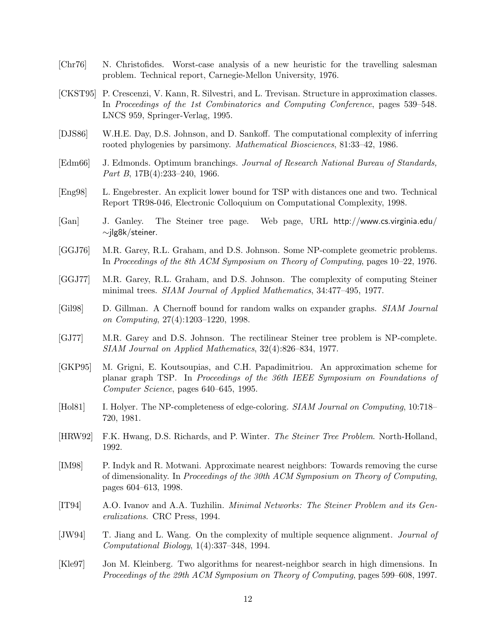- [Chr76] N. Christofides. Worst-case analysis of a new heuristic for the travelling salesman problem. Technical report, Carnegie-Mellon University, 1976.
- [CKST95] P. Crescenzi, V. Kann, R. Silvestri, and L. Trevisan. Structure in approximation classes. In *Proceedings of the 1st Combinatorics and Computing Conference*, pages 539–548. LNCS 959, Springer-Verlag, 1995.
- [DJS86] W.H.E. Day, D.S. Johnson, and D. Sankoff. The computational complexity of inferring rooted phylogenies by parsimony. *Mathematical Biosciences*, 81:33–42, 1986.
- [Edm66] J. Edmonds. Optimum branchings. *Journal of Research National Bureau of Standards, Part B*, 17B(4):233–240, 1966.
- [Eng98] L. Engebrester. An explicit lower bound for TSP with distances one and two. Technical Report TR98-046, Electronic Colloquium on Computational Complexity, 1998.
- [Gan] J. Ganley. The Steiner tree page. Web page, URL http://www.cs.virginia.edu/ ∼jlg8k/steiner.
- [GGJ76] M.R. Garey, R.L. Graham, and D.S. Johnson. Some NP-complete geometric problems. In *Proceedings of the 8th ACM Symposium on Theory of Computing*, pages 10–22, 1976.
- [GGJ77] M.R. Garey, R.L. Graham, and D.S. Johnson. The complexity of computing Steiner minimal trees. *SIAM Journal of Applied Mathematics*, 34:477–495, 1977.
- [Gil98] D. Gillman. A Chernoff bound for random walks on expander graphs. *SIAM Journal on Computing*, 27(4):1203–1220, 1998.
- [GJ77] M.R. Garey and D.S. Johnson. The rectilinear Steiner tree problem is NP-complete. *SIAM Journal on Applied Mathematics*, 32(4):826–834, 1977.
- [GKP95] M. Grigni, E. Koutsoupias, and C.H. Papadimitriou. An approximation scheme for planar graph TSP. In *Proceedings of the 36th IEEE Symposium on Foundations of Computer Science*, pages 640–645, 1995.
- [Hol81] I. Holyer. The NP-completeness of edge-coloring. *SIAM Journal on Computing*, 10:718– 720, 1981.
- [HRW92] F.K. Hwang, D.S. Richards, and P. Winter. *The Steiner Tree Problem*. North-Holland, 1992.
- [IM98] P. Indyk and R. Motwani. Approximate nearest neighbors: Towards removing the curse of dimensionality. In *Proceedings of the 30th ACM Symposium on Theory of Computing*, pages 604–613, 1998.
- [IT94] A.O. Ivanov and A.A. Tuzhilin. *Minimal Networks: The Steiner Problem and its Generalizations*. CRC Press, 1994.
- [JW94] T. Jiang and L. Wang. On the complexity of multiple sequence alignment. *Journal of Computational Biology*, 1(4):337–348, 1994.
- [Kle97] Jon M. Kleinberg. Two algorithms for nearest-neighbor search in high dimensions. In *Proceedings of the 29th ACM Symposium on Theory of Computing*, pages 599–608, 1997.